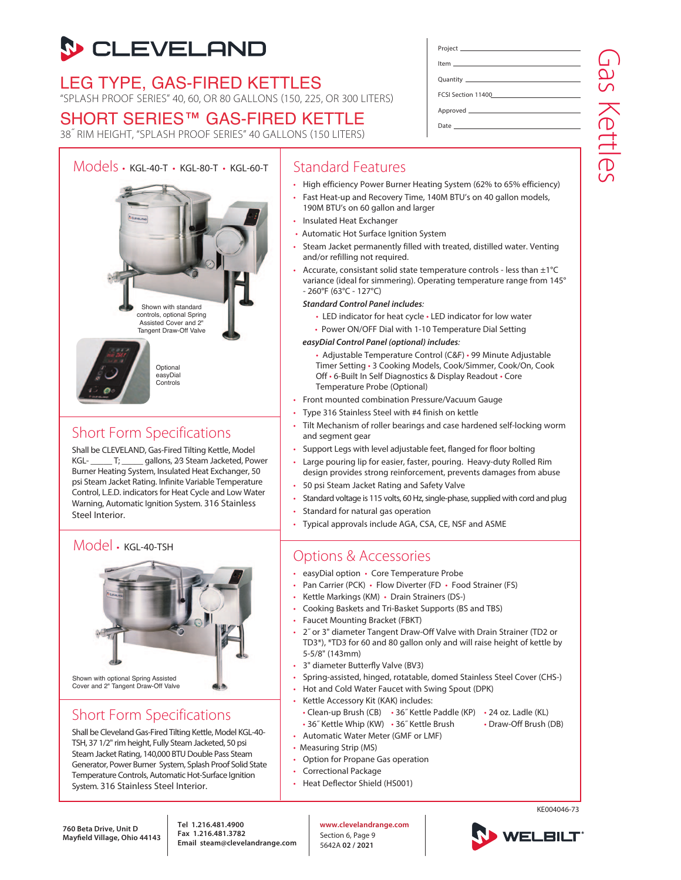# **S** CLEVELAND

LEG TYPE, GAS-FIRED KETTLES "SPLASH PROOF SERIES" 40, 60, OR 80 GALLONS (150, 225, OR 300 LITERS)

# SHORT SERIES™ GAS-FIRED KETTLE

38˝ RIM HEIGHT, "SPLASH PROOF SERIES" 40 GALLONS (150 LITERS)



## Short Form Specifications

Shall be CLEVELAND, Gas-Fired Tilting Kettle, Model KGL- T; qallons, 2/3 Steam Jacketed, Power Burner Heating System, Insulated Heat Exchanger, 50 psi Steam Jacket Rating. Infinite Variable Temperature Control, L.E.D. indicators for Heat Cycle and Low Water Warning, Automatic Ignition System. 316 Stainless Steel Interior.

#### Model • KGL-40-TSH



## Short Form Specifications

Shall be Cleveland Gas-Fired Tilting Kettle, Model KGL-40- TSH, 37 1/2" rim height, Fully Steam Jacketed, 50 psi Steam Jacket Rating, 140,000 BTU Double Pass Steam Generator, Power Burner System, Splash Proof Solid State Temperature Controls, Automatic Hot-Surface Ignition System. 316 Stainless Steel Interior.

### Standard Features

• High efficiency Power Burner Heating System (62% to 65% efficiency)

Project Item Quantity

Date

FCSI Section 11400 Approved

- Fast Heat-up and Recovery Time, 140M BTU's on 40 gallon models, 190M BTU's on 60 gallon and larger
- Insulated Heat Exchanger
- Automatic Hot Surface Ignition System
- Steam Jacket permanently filled with treated, distilled water. Venting and/or refilling not required.
- Accurate, consistant solid state temperature controls less than  $\pm 1^{\circ}C$ variance (ideal for simmering). Operating temperature range from 145° - 260°F (63°C - 127°C)
	- *Standard Control Panel includes*:
		- LED indicator for heat cycle LED indicator for low water
		- Power ON/OFF Dial with 1-10 Temperature Dial Setting
	- *easyDial Control Panel (optional) includes*:
		- Adjustable Temperature Control (C&F) 99 Minute Adjustable Timer Setting • 3 Cooking Models, Cook/Simmer, Cook/On, Cook Off • 6-Built In Self Diagnostics & Display Readout • Core Temperature Probe (Optional)
- Front mounted combination Pressure/Vacuum Gauge
- Type 316 Stainless Steel with #4 finish on kettle
- Tilt Mechanism of roller bearings and case hardened self-locking worm and segment gear
- Support Legs with level adjustable feet, flanged for floor bolting
- Large pouring lip for easier, faster, pouring. Heavy-duty Rolled Rim design provides strong reinforcement, prevents damages from abuse
- 50 psi Steam Jacket Rating and Safety Valve
- Standard voltage is 115 volts, 60 Hz, single-phase, supplied with cord and plug
- Standard for natural gas operation
- Typical approvals include AGA, CSA, CE, NSF and ASME

## Options & Accessories

- easyDial option Core Temperature Probe
- Pan Carrier (PCK) Flow Diverter (FD Food Strainer (FS)
- Kettle Markings (KM) Drain Strainers (DS-)
- Cooking Baskets and Tri-Basket Supports (BS and TBS)
- Faucet Mounting Bracket (FBKT)
- 2˝ or 3" diameter Tangent Draw-Off Valve with Drain Strainer (TD2 or TD3\*), \*TD3 for 60 and 80 gallon only and will raise height of kettle by 5-5/8" (143mm)
- 3" diameter Butterfly Valve (BV3)
- Spring-assisted, hinged, rotatable, domed Stainless Steel Cover (CHS-)
- Hot and Cold Water Faucet with Swing Spout (DPK)
- Kettle Accessory Kit (KAK) includes:
	- Clean-up Brush (CB) 36˝ Kettle Paddle (KP) 24 oz. Ladle (KL)
	- 36" Kettle Whip (KW) 36" Kettle Brush Draw-Off Brush (DB)
- Automatic Water Meter (GMF or LMF)
- Measuring Strip (MS)
- Option for Propane Gas operation
- Correctional Package
- Heat Deflector Shield (HS001)

**760 Beta Drive, Unit D Mayfield Village, Ohio 44143** **Tel 1.216.481.4900 Fax 1.216.481.3782 Email steam@clevelandrange.com** **www.clevelandrange.com** Section 6, Page 9 5642A **02 / 2021**



KE004046-73